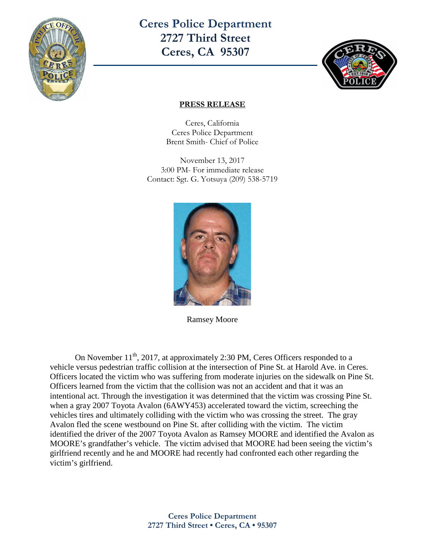

**Ceres Police Department 2727 Third Street Ceres, CA 95307** 



## **PRESS RELEASE**

Ceres, California Ceres Police Department Brent Smith- Chief of Police

November 13, 2017 3:00 PM- For immediate release Contact: Sgt. G. Yotsuya (209) 538-5719



Ramsey Moore

On November 11<sup>th</sup>, 2017, at approximately 2:30 PM, Ceres Officers responded to a vehicle versus pedestrian traffic collision at the intersection of Pine St. at Harold Ave. in Ceres. Officers located the victim who was suffering from moderate injuries on the sidewalk on Pine St. Officers learned from the victim that the collision was not an accident and that it was an intentional act. Through the investigation it was determined that the victim was crossing Pine St. when a gray 2007 Toyota Avalon (6AWY453) accelerated toward the victim, screeching the vehicles tires and ultimately colliding with the victim who was crossing the street. The gray Avalon fled the scene westbound on Pine St. after colliding with the victim. The victim identified the driver of the 2007 Toyota Avalon as Ramsey MOORE and identified the Avalon as MOORE's grandfather's vehicle. The victim advised that MOORE had been seeing the victim's girlfriend recently and he and MOORE had recently had confronted each other regarding the victim's girlfriend.